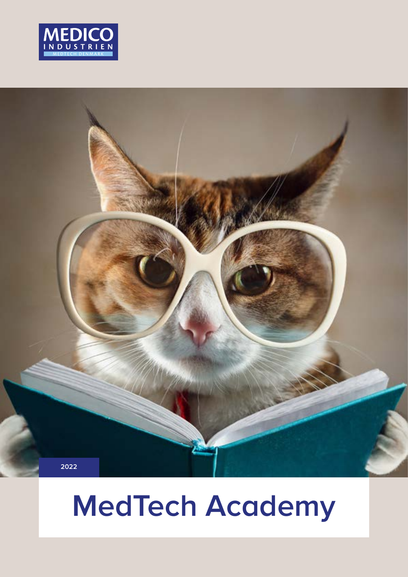



# **MedTech Academy**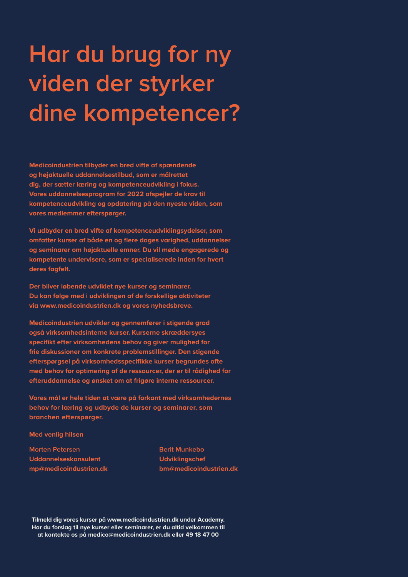# **Har du brug for ny viden der styrker dine kompetencer?**

**Medicoindustrien tilbyder en bred vifte af spændende og højaktuelle uddannelsestilbud, som er målrettet dig, der sætter læring og kompetenceudvikling i fokus. Vores uddannelsesprogram for 2022 afspejler de krav til kompetenceudvikling og opdatering på den nyeste viden, som vores medlemmer efterspørger.**

**Vi udbyder en bred vifte af kompetenceudviklingsydelser, som omfatter kurser af både en og flere dages varighed, uddannelser og seminarer om højaktuelle emner. Du vil møde engagerede og kompetente undervisere, som er specialiserede inden for hvert deres fagfelt.**

**Der bliver løbende udviklet nye kurser og seminarer. Du kan følge med i udviklingen af de forskellige aktiviteter via [www.medicoindustrien.dk](http://www.medicoindustrien.dk) og vores nyhedsbreve.**

**Medicoindustrien udvikler og gennemfører i stigende grad også virksomhedsinterne kurser. Kurserne skræddersyes specifikt efter virksomhedens behov og giver mulighed for frie diskussioner om konkrete problemstillinger. Den stigende efterspørgsel på virksomhedsspecifikke kurser begrundes ofte med behov for optimering af de ressourcer, der er til rådighed for efteruddannelse og ønsket om at frigøre interne ressourcer.**

**Vores mål er hele tiden at være på forkant med virksomhedernes behov for læring og udbyde de kurser og seminarer, som branchen efterspørger.**

**Med venlig hilsen**

**Morten Petersen Uddannelseskonsulent [mp@medicoindustrien.dk](mailto:mp@medicoindustrien.dk)** **Berit Munkebo Udviklingschef [bm@medicoindustrien.dk](mailto:bm@medicoindustrien.dk)**

**Tilmeld dig vores kurser på [www.medicoindustrien.dk](http://www.medicoindustrien.dk) under Academy. Har du forslag til nye kurser eller seminarer, er du altid velkommen til at kontakte os på [medico@medicoindustrien.dk](mailto:medico@medicoindustrien.dk) eller 49 18 47 00**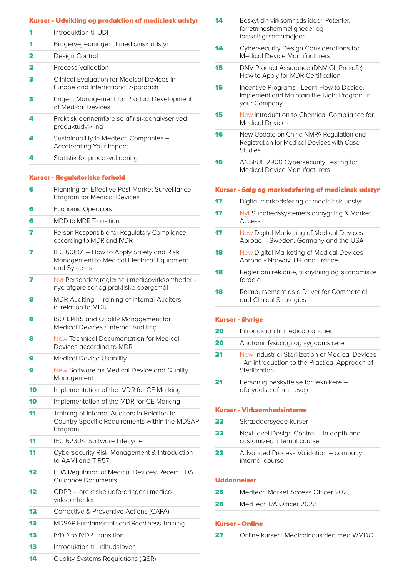#### Kurser - Udvikling og produktion af medicinsk udstyr

- 1 Introduktion til UDI
- 1 Brugervejledninger til medicinsk udstyr
- 2 Design Control
- 2 Process Validation
- 3 Clinical Evaluation for Medical Devices in Europe and International Approach
- **3** Project Management for Product Development of Medical Devices
- 4 Praktisk gennemførelse af risikoanalyser ved produktudvikling
- 4 Sustainability in Medtech Companies -Accelerating Your Impact
- 4 Statistik for procesvalidering

#### Kurser - Regulatoriske forhold

- **6** Planning an Effective Post Market Surveillance Program for Medical Devices
- **6** Economic Operators
- 6 MDD to MDR Transition
- **7** Person Responsible for Regulatory Compliance according to MDR and IVDR
- **7** IEC 60601 How to Apply Safety and Risk Management to Medical Electrical Equipment and Systems
- 7 Nyt Persondatareglerne i medicovirksomheder nye afgørelser og praktiske spørgsmål
- 8 MDR Auditing Training of Internal Auditors in relation to MDR
- 8 **ISO 13485 and Quality Management for** Medical Devices / Internal Auditing
- 8 New Technical Documentation for Medical Devices according to MDR
- **9** Medical Device Usability
- 9 New Software as Medical Device and Quality Management
- 10 Implementation of the IVDR for CE Marking
- 10 Implementation of the MDR for CE Marking
- 11 Training of Internal Auditors in Relation to Country Specific Requirements within the MDSAP Program
- 11 IEC 62304: Software Lifecycle
- 11 Cybersecurity Risk Management & Introduction to AAMI and TIR57
- 12 FDA Regulation of Medical Devices: Recent FDA Guidance Documents
- 12 GDPR praktiske udfordringer i medico virksomheder
- 12 Corrective & Preventive Actions (CAPA)
- 13 MDSAP Fundamentals and Readiness Training
- 13 IVDD to IVDR Transition
- 13 Introduktion til udbudsloven
- 14 Quality Systems Regulations (QSR)
- 14 Beskyt din virksomheds ideer: Patenter, forretningshemmeligheder og forskningssamarbejder
- **14** Cybersecurity Design Considerations for Medical Device Manufacturers
- 15 DNV Product Assurance (DNV GL Presafe) -How to Apply for MDR Certification
- **15** Incentive Programs Learn How to Decide, Implement and Maintain the Right Program in your Company
- 15 New Introduction to Chemical Compliance for Medical Devices
- **16** New Update on China NMPA Regulation and Registration for Medical Devices with Case Studies
- 16 ANSI/UL 2900 Cybersecurity Testing for Medical Device Manufacturers

#### Kurser - Salg og markedsføring af medicinsk udstyr

- 17 Digital markedsføring af medicinsk udstyr 17 Nyt Sundhedssystemets opbygning & Market Access 17 New Digital Marketing of Medical Devices Abroad - Sweden, Germany and the USA **18** New Digital Marketing of Medical Devices Abroad - Norway, UK and France 18 Regler om reklame, tilknytning og økonomiske fordele
- **18** Reimbursement as a Driver for Commercial and Clinical Strategies

#### Kurser - Øvrige

20 Introduktion til medicobranchen 20 Anatomi, fysiologi og sygdomslære 21 New Industrial Sterilization of Medical Devices - An introduction to the Practical Approach of Sterilization 21 Personlig beskyttelse for teknikere afbrydelse af smitteveje

#### Kurser - Virksomhedsinterne

| 22 | Skræddersyede kurser                                                   |
|----|------------------------------------------------------------------------|
| 22 | Next level Design Control – in depth and<br>customized internal course |
| 23 | Advanced Process Validation - company<br>internal course               |

#### Uddannelser

| 25 | Medtech Market Access Officer 2023 |
|----|------------------------------------|
| 26 | MedTech RA Officer 2022            |
|    |                                    |

#### Kurser - Online

27 Online kurser i Medicoindustrien med WMDO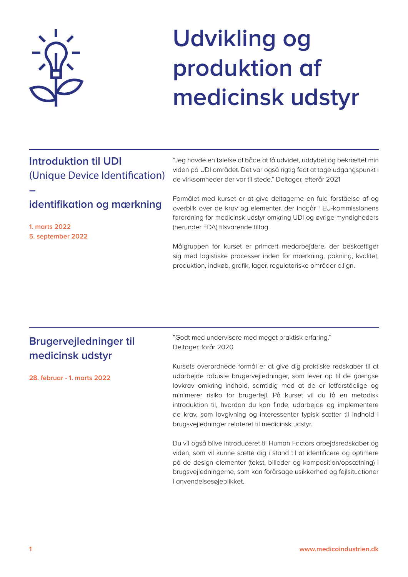

# **Udvikling og produktion af medicinsk udstyr**

## **Introduktion til UDI**  (Unique Device Identification)

### **identifikation og mærkning**

**1. marts 2022 5. september 2022**

**–** 

"Jeg havde en følelse af både at få udvidet, uddybet og bekræftet min viden på UDI området. Det var også rigtig fedt at tage udgangspunkt i de virksomheder der var til stede." Deltager, efterår 2021

Formålet med kurset er at give deltagerne en fuld forståelse af og overblik over de krav og elementer, der indgår i EU-kommissionens forordning for medicinsk udstyr omkring UDI og øvrige myndigheders (herunder FDA) tilsvarende tiltag.

Målgruppen for kurset er primært medarbejdere, der beskæftiger sig med logistiske processer inden for mærkning, pakning, kvalitet, produktion, indkøb, grafik, lager, regulatoriske områder o.lign.

| Brugervejledninger til<br>medicinsk udstyr | "Godt med undervisere med meget praktisk erfaring."<br>Deltager, forår 2020                                                                                                                                                                                                                                                                                                                                                                                                        |
|--------------------------------------------|------------------------------------------------------------------------------------------------------------------------------------------------------------------------------------------------------------------------------------------------------------------------------------------------------------------------------------------------------------------------------------------------------------------------------------------------------------------------------------|
| 28. februar - 1. marts 2022                | Kursets overordnede formål er at give dig praktiske redskaber til at<br>udarbejde robuste brugervejledninger, som lever op til de gængse<br>lovkrav omkring indhold, samtidig med at de er letforståelige og<br>minimerer risiko for brugerfejl. På kurset vil du få en metodisk<br>introduktion til, hvordan du kan finde, udarbejde og implementere<br>de krav, som lovgivning og interessenter typisk sætter til indhold i<br>brugsvejledninger relateret til medicinsk udstyr. |
|                                            | Du vil også blive introduceret til Human Factors arbejdsredskaber og<br>viden, som vil kunne sætte dig i stand til at identificere og optimere<br>på de design elementer (tekst, billeder og komposition/opsætning) i<br>brugsvejledningerne, som kan forårsage usikkerhed og fejlsituationer<br>i anvendelsesøjeblikket.                                                                                                                                                          |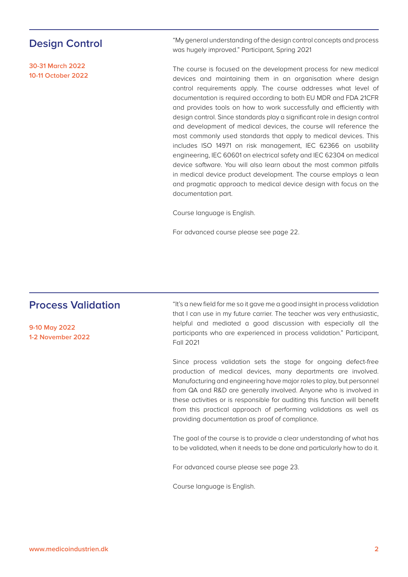#### **Design Control**

**30-31 March 2022 10-11 October 2022**

"My general understanding of the design control concepts and process was hugely improved." Participant, Spring 2021

The course is focused on the development process for new medical devices and maintaining them in an organisation where design control requirements apply. The course addresses what level of documentation is required according to both EU MDR and FDA 21CFR and provides tools on how to work successfully and efficiently with design control. Since standards play a significant role in design control and development of medical devices, the course will reference the most commonly used standards that apply to medical devices. This includes ISO 14971 on risk management, IEC 62366 on usability engineering, IEC 60601 on electrical safety and IEC 62304 on medical device software. You will also learn about the most common pitfalls in medical device product development. The course employs a lean and pragmatic approach to medical device design with focus on the documentation part.

Course language is English.

For advanced course please see page 22.

#### **Process Validation**

**9-10 May 2022 1-2 November 2022** "It's a new field for me so it gave me a good insight in process validation that I can use in my future carrier. The teacher was very enthusiastic, helpful and mediated a good discussion with especially all the participants who are experienced in process validation." Participant, Fall 2021

Since process validation sets the stage for ongoing defect-free production of medical devices, many departments are involved. Manufacturing and engineering have major roles to play, but personnel from QA and R&D are generally involved. Anyone who is involved in these activities or is responsible for auditing this function will benefit from this practical approach of performing validations as well as providing documentation as proof of compliance.

The goal of the course is to provide a clear understanding of what has to be validated, when it needs to be done and particularly how to do it.

For advanced course please see page 23.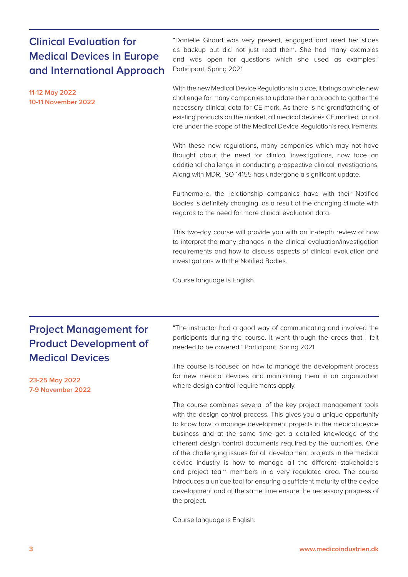### **Clinical Evaluation for Medical Devices in Europe and International Approach**

**11-12 May 2022 10-11 November 2022**

"Danielle Giroud was very present, engaged and used her slides as backup but did not just read them. She had many examples and was open for questions which she used as examples." Participant, Spring 2021

With the new Medical Device Regulations in place, it brings a whole new challenge for many companies to update their approach to gather the necessary clinical data for CE mark. As there is no grandfathering of existing products on the market, all medical devices CE marked or not are under the scope of the Medical Device Regulation's requirements.

With these new regulations, many companies which may not have thought about the need for clinical investigations, now face an additional challenge in conducting prospective clinical investigations. Along with MDR, ISO 14155 has undergone a significant update.

Furthermore, the relationship companies have with their Notified Bodies is definitely changing, as a result of the changing climate with regards to the need for more clinical evaluation data.

This two-day course will provide you with an in-depth review of how to interpret the many changes in the clinical evaluation/investigation requirements and how to discuss aspects of clinical evaluation and investigations with the Notified Bodies.

Course language is English.

## **Project Management for Product Development of Medical Devices**

**23-25 May 2022 7-9 November 2022** "The instructor had a good way of communicating and involved the participants during the course. It went through the areas that I felt needed to be covered." Participant, Spring 2021

The course is focused on how to manage the development process for new medical devices and maintaining them in an organization where design control requirements apply.

The course combines several of the key project management tools with the design control process. This gives you a unique opportunity to know how to manage development projects in the medical device business and at the same time get a detailed knowledge of the different design control documents required by the authorities. One of the challenging issues for all development projects in the medical device industry is how to manage all the different stakeholders and project team members in a very regulated area. The course introduces a unique tool for ensuring a sufficient maturity of the device development and at the same time ensure the necessary progress of the project.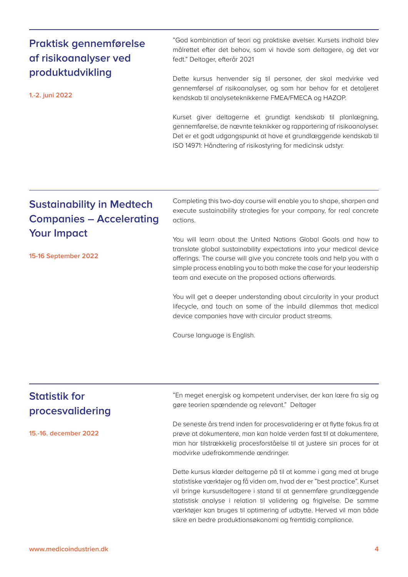**[www.medicoindustrien.dk](http://www.medicoindustrien.dk) 4**

#### **Praktisk gennemførelse af risikoanalyser ved produktudvikling**

**1.-2. juni 2022**

"God kombination af teori og praktiske øvelser. Kursets indhold blev målrettet efter det behov, som vi havde som deltagere, og det var fedt." Deltager, efterår 2021

Dette kursus henvender sig til personer, der skal medvirke ved gennemførsel af risikoanalyser, og som har behov for et detaljeret kendskab til analyseteknikkerne FMEA/FMECA og HAZOP.

Kurset giver deltagerne et grundigt kendskab til planlægning, gennemførelse, de nævnte teknikker og rapportering af risikoanalyser. Det er et godt udgangspunkt at have et grundlæggende kendskab til ISO 14971: Håndtering af risikostyring for medicinsk udstyr.

## **Sustainability in Medtech Companies – Accelerating Your Impact**

**15-16 September 2022**

Completing this two-day course will enable you to shape, sharpen and execute sustainability strategies for your company, for real concrete actions.

You will learn about the United Nations Global Goals and how to translate global sustainability expectations into your medical device offerings. The course will give you concrete tools and help you with a simple process enabling you to both make the case for your leadership team and execute on the proposed actions afterwards.

You will get a deeper understanding about circularity in your product lifecycle, and touch on some of the inbuild dilemmas that medical device companies have with circular product streams.

Course language is English.

### **Statistik for procesvalidering**

**15.-16. december 2022**

"En meget energisk og kompetent underviser, der kan lære fra sig og gøre teorien spændende og relevant." Deltager

De seneste års trend inden for procesvalidering er at flytte fokus fra at prøve at dokumentere, man kan holde verden fast til at dokumentere, man har tilstrækkelig procesforståelse til at justere sin proces for at modvirke udefrakommende ændringer.

Dette kursus klæder deltagerne på til at komme i gang med at bruge statistiske værktøjer og få viden om, hvad der er "best practice". Kurset vil bringe kursusdeltagere i stand til at gennemføre grundlæggende statistisk analyse i relation til validering og frigivelse. De samme værktøjer kan bruges til optimering af udbytte. Herved vil man både sikre en bedre produktionsøkonomi og fremtidig compliance.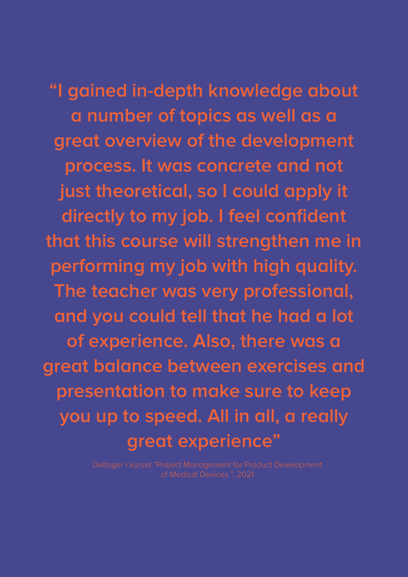**"I gained in-depth knowledge about a number of topics as well as a great overview of the development process. It was concrete and not just theoretical, so I could apply it directly to my job. I feel confident that this course will strengthen me in performing my job with high quality. The teacher was very professional, and you could tell that he had a lot of experience. Also, there was a great balance between exercises and presentation to make sure to keep you up to speed. All in all, a really great experience"**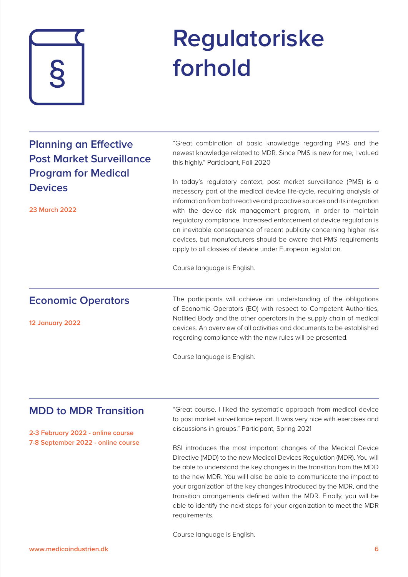

# **Regulatoriske forhold**

| <b>Planning an Effective</b><br><b>Post Market Surveillance</b><br><b>Program for Medical</b><br><b>Devices</b><br><b>23 March 2022</b> | "Great combination of basic knowledge regarding PMS and the<br>newest knowledge related to MDR. Since PMS is new for me, I valued<br>this highly." Participant, Fall 2020<br>In today's regulatory context, post market surveillance (PMS) is a<br>necessary part of the medical device life-cycle, requiring analysis of<br>information from both reactive and proactive sources and its integration<br>with the device risk management program, in order to maintain<br>regulatory compliance. Increased enforcement of device regulation is<br>an inevitable consequence of recent publicity concerning higher risk<br>devices, but manufacturers should be aware that PMS requirements<br>apply to all classes of device under European legislation.<br>Course language is English. |
|-----------------------------------------------------------------------------------------------------------------------------------------|-----------------------------------------------------------------------------------------------------------------------------------------------------------------------------------------------------------------------------------------------------------------------------------------------------------------------------------------------------------------------------------------------------------------------------------------------------------------------------------------------------------------------------------------------------------------------------------------------------------------------------------------------------------------------------------------------------------------------------------------------------------------------------------------|
| <b>Economic Operators</b><br>12 January 2022                                                                                            | The participants will achieve an understanding of the obligations<br>of Economic Operators (EO) with respect to Competent Authorities,<br>Notified Body and the other operators in the supply chain of medical<br>devices. An overview of all activities and documents to be established<br>regarding compliance with the new rules will be presented.<br>Course language is English.                                                                                                                                                                                                                                                                                                                                                                                                   |

#### **MDD to MDR Transition**

**2-3 February 2022 - online course 7-8 September 2022 - online course** "Great course. I liked the systematic approach from medical device to post market surveillance report. It was very nice with exercises and discussions in groups." Participant, Spring 2021

BSI introduces the most important changes of the Medical Device Directive (MDD) to the new Medical Devices Regulation (MDR). You will be able to understand the key changes in the transition from the MDD to the new MDR. You willl also be able to communicate the impact to your organization of the key changes introduced by the MDR, and the transition arrangements defined within the MDR. Finally, you will be able to identify the next steps for your organization to meet the MDR requirements.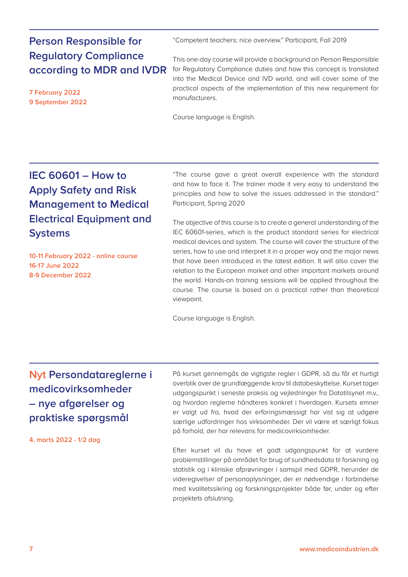**Person Responsible for Regulatory Compliance according to MDR and IVDR**

**7 February 2022 9 September 2022** "Competent teachers; nice overview." Participant, Fall 2019

This one-day course will provide a background on Person Responsible for Regulatory Compliance duties and how this concept is translated into the Medical Device and IVD world, and will cover some of the practical aspects of the implementation of this new requirement for manufacturers.

Course language is English.

## **IEC 60601 – How to Apply Safety and Risk Management to Medical Electrical Equipment and Systems**

**10-11 February 2022 - online course 16-17 June 2022 8-9 December 2022**

"The course gave a great overall experience with the standard and how to face it. The trainer made it very easy to understand the principles and how to solve the issues addressed in the standard." Participant, Spring 2020

The objective of this course is to create a general understanding of the IEC 60601-series, which is the product standard series for electrical medical devices and system. The course will cover the structure of the series, how to use and interpret it in a proper way and the major news that have been introduced in the latest edition. It will also cover the relation to the European market and other important markets around the world. Hands-on training sessions will be applied throughout the course. The course is based on a practical rather than theoretical viewpoint.

Course language is English.

**Nyt Persondatareglerne i medicovirksomheder – nye afgørelser og praktiske spørgsmål** 

**4. marts 2022 - 1/2 dag**

På kurset gennemgås de vigtigste regler i GDPR, så du får et hurtigt overblik over de grundlæggende krav til databeskyttelse. Kurset tager udgangspunkt i seneste praksis og vejledninger fra Datatilsynet m.v., og hvordan reglerne håndteres konkret i hverdagen. Kursets emner er valgt ud fra, hvad der erfaringsmæssigt har vist sig at udgøre særlige udfordringer hos virksomheder. Der vil være et særligt fokus på forhold, der har relevans for medicovirksomheder.

Efter kurset vil du have et godt udgangspunkt for at vurdere problemstillinger på området for brug af sundhedsdata til forskning og statistik og i kliniske afprøvninger i samspil med GDPR, herunder de videregivelser af personoplysninger, der er nødvendige i forbindelse med kvalitetssikring og forskningsprojekter både før, under og efter projektets afslutning.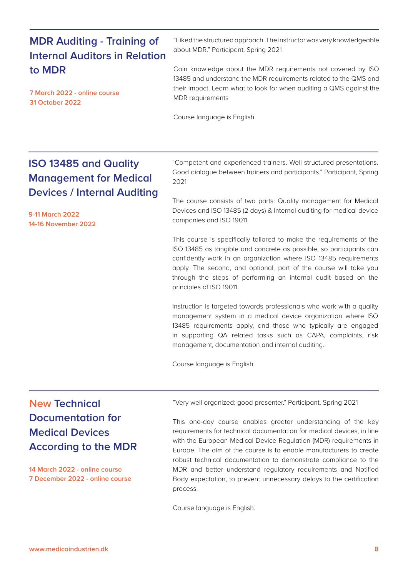### **MDR Auditing - Training of Internal Auditors in Relation to MDR**

**7 March 2022 - online course 31 October 2022**

"I liked the structured approach. The instructor was very knowledgeable about MDR." Participant, Spring 2021

Gain knowledge about the MDR requirements not covered by ISO 13485 and understand the MDR requirements related to the QMS and their impact. Learn what to look for when auditing a QMS against the MDR requirements

Course language is English.

### **ISO 13485 and Quality Management for Medical Devices / Internal Auditing**

**9-11 March 2022 14-16 November 2022**

"Competent and experienced trainers. Well structured presentations. Good dialogue between trainers and participants." Participant, Spring 2021

The course consists of two parts: Quality management for Medical Devices and ISO 13485 (2 days) & Internal auditing for medical device companies and ISO 19011.

This course is specifically tailored to make the requirements of the ISO 13485 as tangible and concrete as possible, so participants can confidently work in an organization where ISO 13485 requirements apply. The second, and optional, part of the course will take you through the steps of performing an internal audit based on the principles of ISO 19011.

Instruction is targeted towards professionals who work with a quality management system in a medical device organization where ISO 13485 requirements apply, and those who typically are engaged in supporting QA related tasks such as CAPA, complaints, risk management, documentation and internal auditing.

Course language is English.

### **New Technical Documentation for Medical Devices According to the MDR**

**14 March 2022 - online course 7 December 2022 - online course** "Very well organized; good presenter." Participant, Spring 2021

This one-day course enables greater understanding of the key requirements for technical documentation for medical devices, in line with the European Medical Device Regulation (MDR) requirements in Europe. The aim of the course is to enable manufacturers to create robust technical documentation to demonstrate compliance to the MDR and better understand regulatory requirements and Notified Body expectation, to prevent unnecessary delays to the certification process.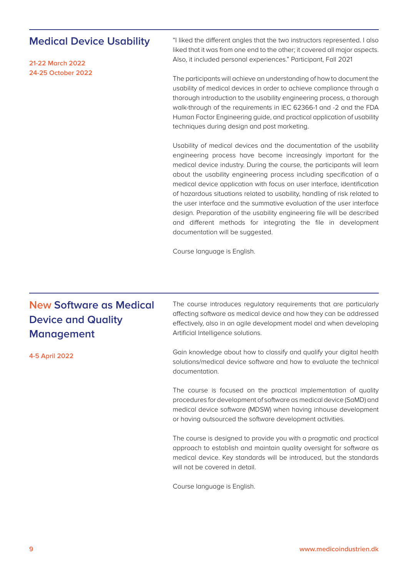#### **Medical Device Usability**

**21-22 March 2022 24-25 October 2022** "I liked the different angles that the two instructors represented. I also liked that it was from one end to the other; it covered all major aspects. Also, it included personal experiences." Participant, Fall 2021

The participants will achieve an understanding of how to document the usability of medical devices in order to achieve compliance through a thorough introduction to the usability engineering process, a thorough walk-through of the requirements in IEC 62366-1 and -2 and the FDA Human Factor Engineering guide, and practical application of usability techniques during design and post marketing.

Usability of medical devices and the documentation of the usability engineering process have become increasingly important for the medical device industry. During the course, the participants will learn about the usability engineering process including specification of a medical device application with focus on user interface, identification of hazardous situations related to usability, handling of risk related to the user interface and the summative evaluation of the user interface design. Preparation of the usability engineering file will be described and different methods for integrating the file in development documentation will be suggested.

Course language is English.

## **New Software as Medical Device and Quality Management**

**4-5 April 2022**

The course introduces regulatory requirements that are particularly affecting software as medical device and how they can be addressed effectively, also in an agile development model and when developing Artificial Intelligence solutions.

Gain knowledge about how to classify and qualify your digital health solutions/medical device software and how to evaluate the technical documentation.

The course is focused on the practical implementation of quality procedures for development of software as medical device (SaMD) and medical device software (MDSW) when having inhouse development or having outsourced the software development activities.

The course is designed to provide you with a pragmatic and practical approach to establish and maintain quality oversight for software as medical device. Key standards will be introduced, but the standards will not be covered in detail.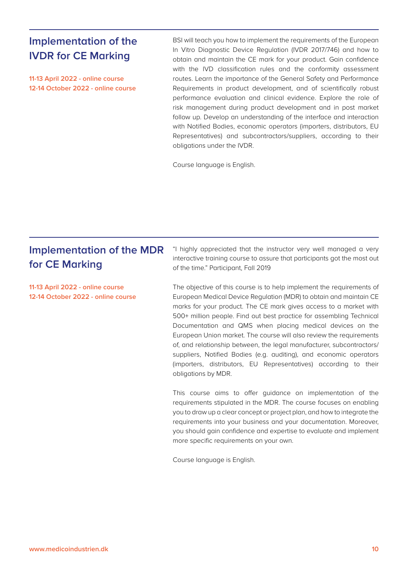#### **Implementation of the IVDR for CE Marking**

**11-13 April 2022 - online course 12-14 October 2022 - online course** BSI will teach you how to implement the requirements of the European In Vitro Diagnostic Device Regulation (IVDR 2017/746) and how to obtain and maintain the CE mark for your product. Gain confidence with the IVD classification rules and the conformity assessment routes. Learn the importance of the General Safety and Performance Requirements in product development, and of scientifically robust performance evaluation and clinical evidence. Explore the role of risk management during product development and in post market follow up. Develop an understanding of the interface and interaction with Notified Bodies, economic operators (importers, distributors, EU Representatives) and subcontractors/suppliers, according to their obligations under the IVDR.

Course language is English.

### **Implementation of the MDR for CE Marking**

**11-13 April 2022 - online course 12-14 October 2022 - online course**

"I highly appreciated that the instructor very well managed a very interactive training course to assure that participants got the most out of the time." Participant, Fall 2019

The objective of this course is to help implement the requirements of European Medical Device Regulation (MDR) to obtain and maintain CE marks for your product. The CE mark gives access to a market with 500+ million people. Find out best practice for assembling Technical Documentation and QMS when placing medical devices on the European Union market. The course will also review the requirements of, and relationship between, the legal manufacturer, subcontractors/ suppliers, Notified Bodies (e.g. auditing), and economic operators (importers, distributors, EU Representatives) according to their obligations by MDR.

This course aims to offer guidance on implementation of the requirements stipulated in the MDR. The course focuses on enabling you to draw up a clear concept or project plan, and how to integrate the requirements into your business and your documentation. Moreover, you should gain confidence and expertise to evaluate and implement more specific requirements on your own.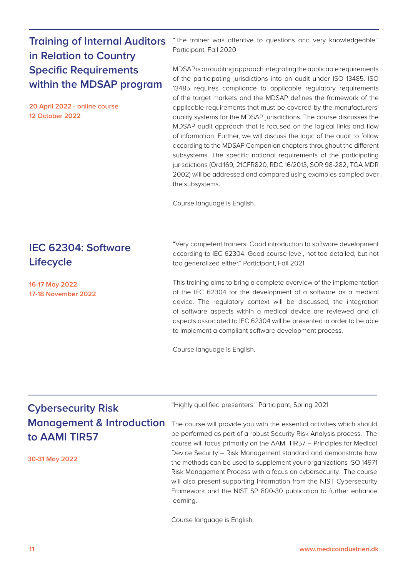### **Training of Internal Auditors in Relation to Country Specific Requirements within the MDSAP program**

**20 April 2022 - online course 12 October 2022**

"The trainer was attentive to questions and very knowledgeable." Participant, Fall 2020

MDSAP is an auditing approach integrating the applicable requirements of the participating jurisdictions into an audit under ISO 13485. ISO 13485 requires compliance to applicable regulatory requirements of the target markets and the MDSAP defines the framework of the applicable requirements that must be covered by the manufacturers' quality systems for the MDSAP jurisdictions. The course discusses the MDSAP audit approach that is focused on the logical links and flow of information. Further, we will discuss the logic of the audit to follow according to the MDSAP Companion chapters throughout the different subsystems. The specific national requirements of the participating jurisdictions (Ord.169, 21CFR820, RDC 16/2013, SOR 98-282, TGA MDR 2002) will be addressed and compared using examples sampled over the subsystems.

Course language is English.

| IEC 62304: Software<br><b>Lifecycle</b>      | "Very competent trainers. Good introduction to software development<br>according to IEC 62304. Good course level, not too detailed, but not<br>too generalized either." Participant, Fall 2021                                                                                                                                                                                                                       |
|----------------------------------------------|----------------------------------------------------------------------------------------------------------------------------------------------------------------------------------------------------------------------------------------------------------------------------------------------------------------------------------------------------------------------------------------------------------------------|
| 16-17 May 2022<br><b>17-18 November 2022</b> | This training aims to bring a complete overview of the implementation<br>of the IEC 62304 for the development of a software as a medical<br>device. The regulatory context will be discussed, the integration<br>of software aspects within a medical device are reviewed and all<br>aspects associated to IEC 62304 will be presented in order to be able<br>to implement a compliant software development process. |
|                                              | Course language is English.                                                                                                                                                                                                                                                                                                                                                                                          |

### **Cybersecurity Risk Management & Introduction to AAMI TIR57**

**30-31 May 2022**

"Highly qualified presenters." Participant, Spring 2021

The course will provide you with the essential activities which should be performed as part of a robust Security Risk Analysis process. The course will focus primarily on the AAMI TIR57 – Principles for Medical Device Security – Risk Management standard and demonstrate how the methods can be used to supplement your organizations ISO 14971 Risk Management Process with a focus on cybersecurity. The course will also present supporting information from the NIST Cybersecurity Framework and the NIST SP 800-30 publication to further enhance learning.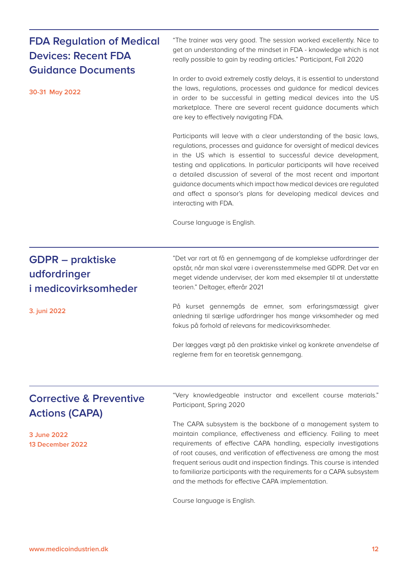| <b>FDA Regulation of Medical</b><br><b>Devices: Recent FDA</b><br><b>Guidance Documents</b> | "The trainer was very good. The session worked excellently. Nice to<br>get an understanding of the mindset in FDA - knowledge which is not<br>really possible to gain by reading articles." Participant, Fall 2020                                                                                                                                                                                                                                                                                                               |  |  |  |
|---------------------------------------------------------------------------------------------|----------------------------------------------------------------------------------------------------------------------------------------------------------------------------------------------------------------------------------------------------------------------------------------------------------------------------------------------------------------------------------------------------------------------------------------------------------------------------------------------------------------------------------|--|--|--|
| 30-31 May 2022                                                                              | In order to avoid extremely costly delays, it is essential to understand<br>the laws, regulations, processes and guidance for medical devices<br>in order to be successful in getting medical devices into the US<br>marketplace. There are several recent guidance documents which<br>are key to effectively navigating FDA.                                                                                                                                                                                                    |  |  |  |
|                                                                                             | Participants will leave with a clear understanding of the basic laws,<br>regulations, processes and guidance for oversight of medical devices<br>in the US which is essential to successful device development,<br>testing and applications. In particular participants will have received<br>a detailed discussion of several of the most recent and important<br>guidance documents which impact how medical devices are regulated<br>and affect a sponsor's plans for developing medical devices and<br>interacting with FDA. |  |  |  |
|                                                                                             | Course language is English.                                                                                                                                                                                                                                                                                                                                                                                                                                                                                                      |  |  |  |
| <b>GDPR</b> – praktiske<br>udfordringer<br>i medicovirksomheder                             | "Det var rart at få en gennemgang af de komplekse udfordringer der<br>opstår, når man skal være i overensstemmelse med GDPR. Det var en<br>meget vidende underviser, der kom med eksempler til at understøtte<br>teorien." Deltager, efterår 2021                                                                                                                                                                                                                                                                                |  |  |  |
| 3. juni 2022                                                                                | På kurset gennemgås de emner, som erfaringsmæssigt giver<br>anledning til særlige udfordringer hos mange virksomheder og med<br>fokus på forhold af relevans for medicovirksomheder.                                                                                                                                                                                                                                                                                                                                             |  |  |  |
|                                                                                             | Der lægges vægt på den praktiske vinkel og konkrete anvendelse af<br>reglerne frem for en teoretisk gennemgang.                                                                                                                                                                                                                                                                                                                                                                                                                  |  |  |  |
| <b>Corrective &amp; Preventive</b><br><b>Actions (CAPA)</b>                                 | "Very knowledgeable instructor and excellent course materials."<br>Participant, Spring 2020                                                                                                                                                                                                                                                                                                                                                                                                                                      |  |  |  |
| 3 June 2022<br>13 December 2022                                                             | The CAPA subsystem is the backbone of a management system to<br>maintain compliance, effectiveness and efficiency. Failing to meet<br>requirements of effective CAPA handling, especially investigations<br>of root causes, and verification of effectiveness are among the most<br>frequent serious audit and inspection findings. This course is intended<br>to familiarize participants with the requirements for a CAPA subsystem<br>and the methods for effective CAPA implementation.                                      |  |  |  |
|                                                                                             | Course language is English.                                                                                                                                                                                                                                                                                                                                                                                                                                                                                                      |  |  |  |

**[www.medicoindustrien.dk](http://www.medicoindustrien.dk) 12**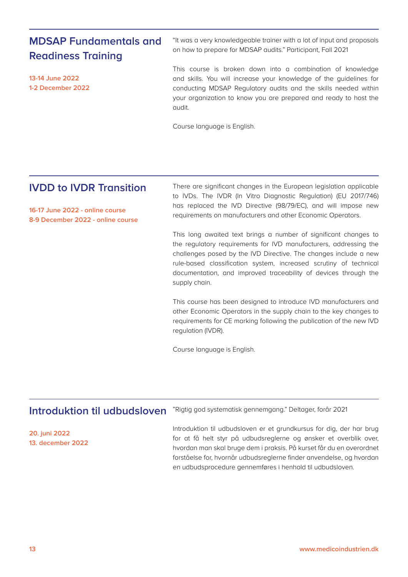### **MDSAP Fundamentals and Readiness Training**

**13-14 June 2022 1-2 December 2022**

"It was a very knowledgeable trainer with a lot of input and proposals on how to prepare for MDSAP audits." Participant, Fall 2021

This course is broken down into a combination of knowledge and skills. You will increase your knowledge of the guidelines for conducting MDSAP Regulatory audits and the skills needed within your organization to know you are prepared and ready to host the audit.

Course language is English.

#### **IVDD to IVDR Transition**

**16-17 June 2022 - online course 8-9 December 2022 - online course** There are significant changes in the European legislation applicable to IVDs. The IVDR (In Vitro Diagnostic Regulation) (EU 2017/746) has replaced the IVD Directive (98/79/EC), and will impose new requirements on manufacturers and other Economic Operators.

This long awaited text brings a number of significant changes to the regulatory requirements for IVD manufacturers, addressing the challenges posed by the IVD Directive. The changes include a new rule-based classification system, increased scrutiny of technical documentation, and improved traceability of devices through the supply chain.

This course has been designed to introduce IVD manufacturers and other Economic Operators in the supply chain to the key changes to requirements for CE marking following the publication of the new IVD regulation (IVDR).

Course language is English.

#### "Rigtig god systematisk gennemgang." Deltager, forår 2021 **Introduktion til udbudsloven**

**20. juni 2022 13. december 2022** Introduktion til udbudsloven er et grundkursus for dig, der har brug for at få helt styr på udbudsreglerne og ønsker et overblik over, hvordan man skal bruge dem i praksis. På kurset får du en overordnet forståelse for, hvornår udbudsreglerne finder anvendelse, og hvordan en udbudsprocedure gennemføres i henhold til udbudsloven.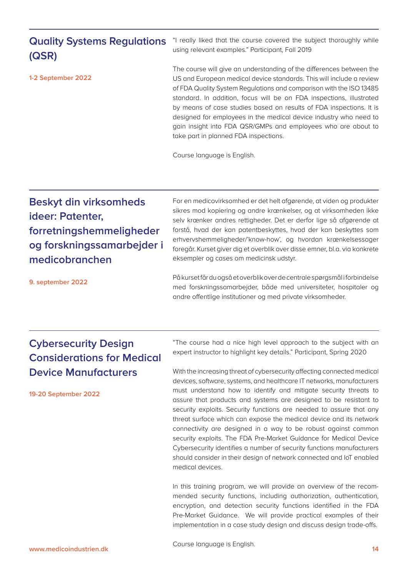### **Quality Systems Regulations (QSR)**

**1-2 September 2022**

"I really liked that the course covered the subject thoroughly while using relevant examples." Participant, Fall 2019

The course will give an understanding of the differences between the US and European medical device standards. This will include a review of FDA Quality System Regulations and comparison with the ISO 13485 standard. In addition, focus will be on FDA inspections, illustrated by means of case studies based on results of FDA inspections. It is designed for employees in the medical device industry who need to gain insight into FDA QSR/GMPs and employees who are about to take part in planned FDA inspections.

Course language is English.

## **Beskyt din virksomheds ideer: Patenter, forretningshemmeligheder og forskningssamarbejder i medicobranchen**

For en medicovirksomhed er det helt afgørende, at viden og produkter sikres mod kopiering og andre krænkelser, og at virksomheden ikke selv krænker andres rettigheder. Det er derfor lige så afgørende at forstå, hvad der kan patentbeskyttes, hvad der kan beskyttes som erhvervshemmeligheder/'know-how', og hvordan krænkelsessager foregår. Kurset giver dig et overblik over disse emner, bl.a. via konkrete eksempler og cases om medicinsk udstyr.

**9. september 2022**

På kurset får du også et overblik over de centrale spørgsmål i forbindelse med forskningssamarbejder, både med universiteter, hospitaler og andre offentlige institutioner og med private virksomheder.

### **Cybersecurity Design Considerations for Medical Device Manufacturers**

**19-20 September 2022**

"The course had a nice high level approach to the subject with an expert instructor to highlight key details." Participant, Spring 2020

With the increasing threat of cybersecurity affecting connected medical devices, software, systems, and healthcare IT networks, manufacturers must understand how to identify and mitigate security threats to assure that products and systems are designed to be resistant to security exploits. Security functions are needed to assure that any threat surface which can expose the medical device and its network connectivity are designed in a way to be robust against common security exploits. The FDA Pre-Market Guidance for Medical Device Cybersecurity identifies a number of security functions manufacturers should consider in their design of network connected and IoT enabled medical devices.

In this training program, we will provide an overview of the recommended security functions, including authorization, authentication, encryption, and detection security functions identified in the FDA Pre-Market Guidance. We will provide practical examples of their implementation in a case study design and discuss design trade-offs.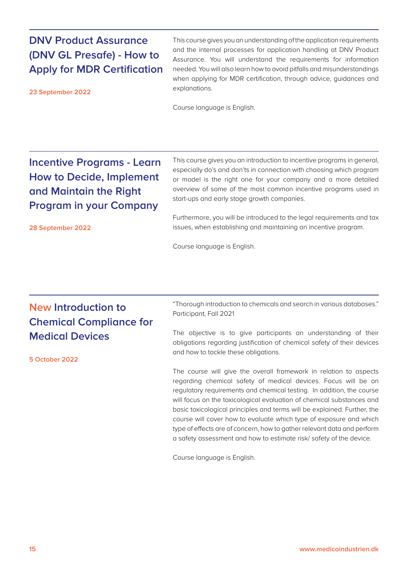#### **DNV Product Assurance (DNV GL Presafe) - How to Apply for MDR Certification**

**23 September 2022**

**28 September 2022**

This course gives you an understanding of the application requirements and the internal processes for application handling at DNV Product Assurance. You will understand the requirements for information needed. You will also learn how to avoid pitfalls and misunderstandings when applying for MDR certification, through advice, guidances and explanations.

Course language is English.

## **Incentive Programs - Learn How to Decide, Implement and Maintain the Right Program in your Company**

This course gives you an introduction to incentive programs in general, especially do's and don'ts in connection with choosing which program or model is the right one for your company and a more detailed overview of some of the most common incentive programs used in start-ups and early stage growth companies.

Furthermore, you will be introduced to the legal requirements and tax issues, when establishing and maintaining an incentive program.

Course language is English.

## **New Introduction to Chemical Compliance for Medical Devices**

**5 October 2022**

"Thorough introduction to chemicals and search in various databases." Participant, Fall 2021

The objective is to give participants an understanding of their obligations regarding justification of chemical safety of their devices and how to tackle these obligations.

The course will give the overall framework in relation to aspects regarding chemical safety of medical devices. Focus will be on regulatory requirements and chemical testing. In addition, the course will focus on the toxicological evaluation of chemical substances and basic toxicological principles and terms will be explained. Further, the course will cover how to evaluate which type of exposure and which type of effects are of concern, how to gather relevant data and perform a safety assessment and how to estimate risk/ safety of the device.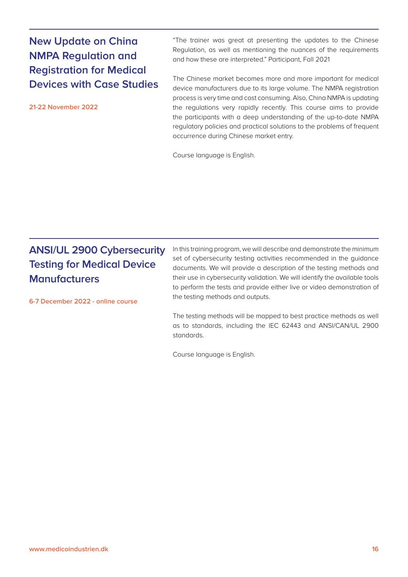### **New Update on China NMPA Regulation and Registration for Medical Devices with Case Studies**

**21-22 November 2022**

"The trainer was great at presenting the updates to the Chinese Regulation, as well as mentioning the nuances of the requirements and how these are interpreted." Participant, Fall 2021

The Chinese market becomes more and more important for medical device manufacturers due to its large volume. The NMPA registration process is very time and cost consuming. Also, China NMPA is updating the regulations very rapidly recently. This course aims to provide the participants with a deep understanding of the up-to-date NMPA regulatory policies and practical solutions to the problems of frequent occurrence during Chinese market entry.

Course language is English.

## **ANSI/UL 2900 Cybersecurity Testing for Medical Device Manufacturers**

**6-7 December 2022 - online course**

In this training program, we will describe and demonstrate the minimum set of cybersecurity testing activities recommended in the guidance documents. We will provide a description of the testing methods and their use in cybersecurity validation. We will identify the available tools to perform the tests and provide either live or video demonstration of the testing methods and outputs.

The testing methods will be mapped to best practice methods as well as to standards, including the IEC 62443 and ANSI/CAN/UL 2900 standards.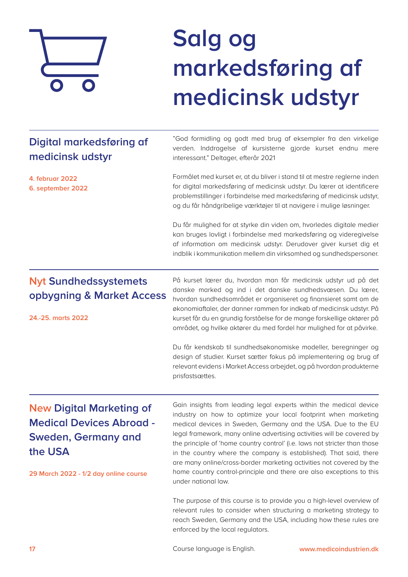

# **Salg og markedsføring af medicinsk udstyr**

## **Digital markedsføring af medicinsk udstyr**

**4. februar 2022 6. september 2022**

"God formidling og godt med brug af eksempler fra den virkelige verden. Inddragelse af kursisterne gjorde kurset endnu mere interessant." Deltager, efterår 2021

Formålet med kurset er, at du bliver i stand til at mestre reglerne inden for digital markedsføring af medicinsk udstyr. Du lærer at identificere problemstillinger i forbindelse med markedsføring af medicinsk udstyr, og du får håndgribelige værktøjer til at navigere i mulige løsninger.

Du får mulighed for at styrke din viden om, hvorledes digitale medier kan bruges lovligt i forbindelse med markedsføring og videregivelse af information om medicinsk udstyr. Derudover giver kurset dig et indblik i kommunikation mellem din virksomhed og sundhedspersoner.

### **Nyt Sundhedssystemets opbygning & Market Access**

**24.-25. marts 2022**

På kurset lærer du, hvordan man får medicinsk udstyr ud på det danske marked og ind i det danske sundhedsvæsen. Du lærer, hvordan sundhedsområdet er organiseret og finansieret samt om de økonomiaftaler, der danner rammen for indkøb af medicinsk udstyr. På kurset får du en grundig forståelse for de mange forskellige aktører på området, og hvilke aktører du med fordel har mulighed for at påvirke.

Du får kendskab til sundhedsøkonomiske modeller, beregninger og design af studier. Kurset sætter fokus på implementering og brug af relevant evidens i Market Access arbejdet, og på hvordan produkterne prisfastsættes.

## **New Digital Marketing of Medical Devices Abroad - Sweden, Germany and the USA**

**29 March 2022 - 1/2 day online course**

Gain insights from leading legal experts within the medical device industry on how to optimize your local footprint when marketing medical devices in Sweden, Germany and the USA. Due to the EU legal framework, many online advertising activities will be covered by the principle of 'home country control' (i.e. laws not stricter than those in the country where the company is established). That said, there are many online/cross-border marketing activities not covered by the home country control-principle and there are also exceptions to this under national law.

The purpose of this course is to provide you a high-level overview of relevant rules to consider when structuring a marketing strategy to reach Sweden, Germany and the USA, including how these rules are enforced by the local regulators.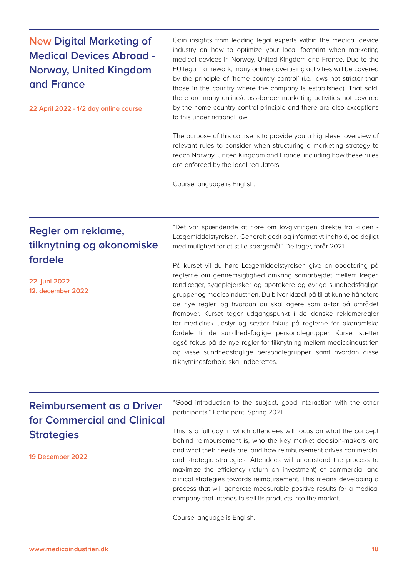### **New Digital Marketing of Medical Devices Abroad - Norway, United Kingdom and France**

**22 April 2022 - 1/2 day online course**

Gain insights from leading legal experts within the medical device industry on how to optimize your local footprint when marketing medical devices in Norway, United Kingdom and France. Due to the EU legal framework, many online advertising activities will be covered by the principle of 'home country control' (i.e. laws not stricter than those in the country where the company is established). That said, there are many online/cross-border marketing activities not covered by the home country control-principle and there are also exceptions to this under national law.

The purpose of this course is to provide you a high-level overview of relevant rules to consider when structuring a marketing strategy to reach Norway, United Kingdom and France, including how these rules are enforced by the local regulators.

Course language is English.

### **Regler om reklame, tilknytning og økonomiske fordele**

**22. juni 2022 12. december 2022** "Det var spændende at høre om lovgivningen direkte fra kilden - Lægemiddelstyrelsen. Generelt godt og informativt indhold, og dejligt med mulighed for at stille spørgsmål." Deltager, forår 2021

På kurset vil du høre Lægemiddelstyrelsen give en opdatering på reglerne om gennemsigtighed omkring samarbejdet mellem læger, tandlæger, sygeplejersker og apotekere og øvrige sundhedsfaglige grupper og medicoindustrien. Du bliver klædt på til at kunne håndtere de nye regler, og hvordan du skal agere som aktør på området fremover. Kurset tager udgangspunkt i de danske reklameregler for medicinsk udstyr og sætter fokus på reglerne for økonomiske fordele til de sundhedsfaglige personalegrupper. Kurset sætter også fokus på de nye regler for tilknytning mellem medicoindustrien og visse sundhedsfaglige personalegrupper, samt hvordan disse tilknytningsforhold skal indberettes.

## **Reimbursement as a Driver for Commercial and Clinical Strategies**

**19 December 2022**

"Good introduction to the subject, good interaction with the other participants." Participant, Spring 2021

This is a full day in which attendees will focus on what the concept behind reimbursement is, who the key market decision-makers are and what their needs are, and how reimbursement drives commercial and strategic strategies. Attendees will understand the process to maximize the efficiency (return on investment) of commercial and clinical strategies towards reimbursement. This means developing a process that will generate measurable positive results for a medical company that intends to sell its products into the market.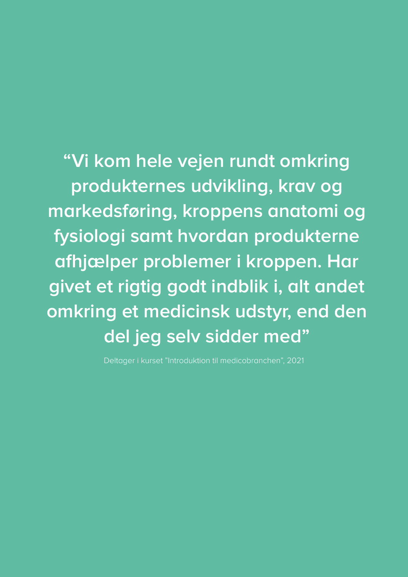**"Vi kom hele vejen rundt omkring produkternes udvikling, krav og markedsføring, kroppens anatomi og fysiologi samt hvordan produkterne afhjælper problemer i kroppen. Har givet et rigtig godt indblik i, alt andet omkring et medicinsk udstyr, end den del jeg selv sidder med"**

Deltager i kurset "Introduktion til medicobranchen", 2021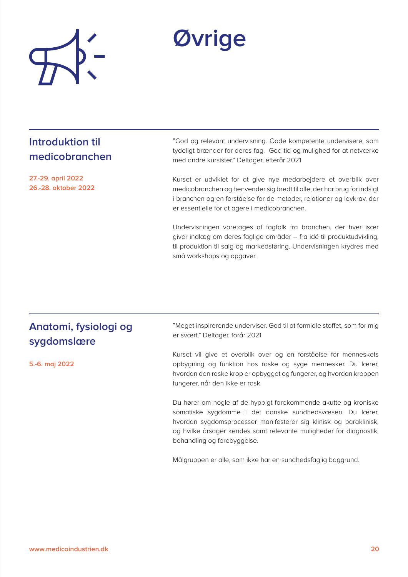

## **Øvrige**

### **Introduktion til medicobranchen**

**27.-29. april 2022 26.-28. oktober 2022**

"God og relevant undervisning. Gode kompetente undervisere, som tydeligt brænder for deres fag. God tid og mulighed for at netværke med andre kursister." Deltager, efterår 2021

Kurset er udviklet for at give nye medarbejdere et overblik over medicobranchen og henvender sig bredt til alle, der har brug for indsigt i branchen og en forståelse for de metoder, relationer og lovkrav, der er essentielle for at agere i medicobranchen.

Undervisningen varetages af fagfolk fra branchen, der hver især giver indlæg om deres faglige områder – fra idé til produktudvikling, til produktion til salg og markedsføring. Undervisningen krydres med små workshops og opgaver.

### **Anatomi, fysiologi og sygdomslære**

**5.-6. maj 2022**

"Meget inspirerende underviser. God til at formidle stoffet, som for mig er svært." Deltager, forår 2021

Kurset vil give et overblik over og en forståelse for menneskets opbygning og funktion hos raske og syge mennesker. Du lærer, hvordan den raske krop er opbygget og fungerer, og hvordan kroppen fungerer, når den ikke er rask.

Du hører om nogle af de hyppigt forekommende akutte og kroniske somatiske sygdomme i det danske sundhedsvæsen. Du lærer, hvordan sygdomsprocesser manifesterer sig klinisk og paraklinisk, og hvilke årsager kendes samt relevante muligheder for diagnostik, behandling og forebyggelse.

Målgruppen er alle, som ikke har en sundhedsfaglig baggrund.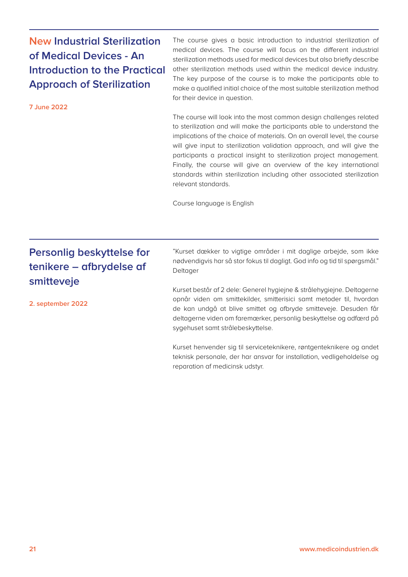### **New Industrial Sterilization of Medical Devices - An Introduction to the Practical Approach of Sterilization**

**7 June 2022**

The course gives a basic introduction to industrial sterilization of medical devices. The course will focus on the different industrial sterilization methods used for medical devices but also briefly describe other sterilization methods used within the medical device industry. The key purpose of the course is to make the participants able to make a qualified initial choice of the most suitable sterilization method for their device in question.

The course will look into the most common design challenges related to sterilization and will make the participants able to understand the implications of the choice of materials. On an overall level, the course will give input to sterilization validation approach, and will give the participants a practical insight to sterilization project management. Finally, the course will give an overview of the key international standards within sterilization including other associated sterilization relevant standards.

Course language is English

## **Personlig beskyttelse for tenikere – afbrydelse af smitteveje**

**2. september 2022**

"Kurset dækker to vigtige områder i mit daglige arbejde, som ikke nødvendigvis har så stor fokus til dagligt. God info og tid til spørgsmål." Deltager

Kurset består af 2 dele: Generel hygiejne & strålehygiejne. Deltagerne opnår viden om smittekilder, smitterisici samt metoder til, hvordan de kan undgå at blive smittet og afbryde smitteveje. Desuden får deltagerne viden om faremærker, personlig beskyttelse og adfærd på sygehuset samt strålebeskyttelse.

Kurset henvender sig til serviceteknikere, røntgenteknikere og andet teknisk personale, der har ansvar for installation, vedligeholdelse og reparation af medicinsk udstyr.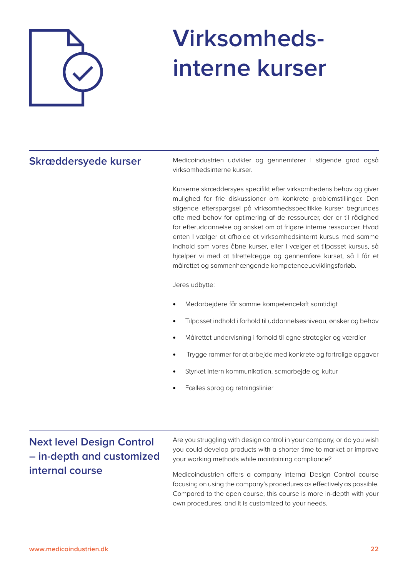

# **Virksomhedsinterne kurser**

#### **Skræddersyede kurser**

Medicoindustrien udvikler og gennemfører i stigende grad også virksomhedsinterne kurser.

Kurserne skræddersyes specifikt efter virksomhedens behov og giver mulighed for frie diskussioner om konkrete problemstillinger. Den stigende efterspørgsel på virksomhedsspecifikke kurser begrundes ofte med behov for optimering af de ressourcer, der er til rådighed for efteruddannelse og ønsket om at frigøre interne ressourcer. Hvad enten I vælger at afholde et virksomhedsinternt kursus med samme indhold som vores åbne kurser, eller I vælger et tilpasset kursus, så hjælper vi med at tilrettelægge og gennemføre kurset, så I får et målrettet og sammenhængende kompetenceudviklingsforløb.

Jeres udbytte:

- Medarbejdere får samme kompetenceløft samtidigt
- Tilpasset indhold i forhold til uddannelsesniveau, ønsker og behov
- Målrettet undervisning i forhold til egne strategier og værdier
- Trygge rammer for at arbejde med konkrete og fortrolige opgaver
- Styrket intern kommunikation, samarbejde og kultur
- Fælles sprog og retningslinier

### **Next level Design Control – in-depth and customized internal course**

Are you struggling with design control in your company, or do you wish you could develop products with a shorter time to market or improve your working methods while maintaining compliance?

Medicoindustrien offers a company internal Design Control course focusing on using the company's procedures as effectively as possible. Compared to the open course, this course is more in-depth with your own procedures, and it is customized to your needs.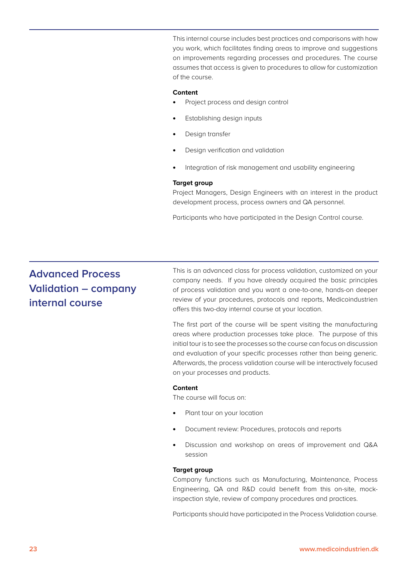This internal course includes best practices and comparisons with how you work, which facilitates finding areas to improve and suggestions on improvements regarding processes and procedures. The course assumes that access is given to procedures to allow for customization of the course.

#### **Content**

- Project process and design control
- Establishing design inputs
- Design transfer
- Design verification and validation
- Integration of risk management and usability engineering

#### **Target group**

Project Managers, Design Engineers with an interest in the product development process, process owners and QA personnel.

Participants who have participated in the Design Control course.

#### **Advanced Process Validation – company internal course**

This is an advanced class for process validation, customized on your company needs. If you have already acquired the basic principles of process validation and you want a one-to-one, hands-on deeper review of your procedures, protocols and reports, Medicoindustrien offers this two-day internal course at your location.

The first part of the course will be spent visiting the manufacturing areas where production processes take place. The purpose of this initial tour is to see the processes so the course can focus on discussion and evaluation of your specific processes rather than being generic. Afterwards, the process validation course will be interactively focused on your processes and products.

#### **Content**

The course will focus on:

- Plant tour on your location
- Document review: Procedures, protocols and reports
- Discussion and workshop on areas of improvement and Q&A session

#### **Target group**

Company functions such as Manufacturing, Maintenance, Process Engineering, QA and R&D could benefit from this on-site, mockinspection style, review of company procedures and practices.

Participants should have participated in the Process Validation course.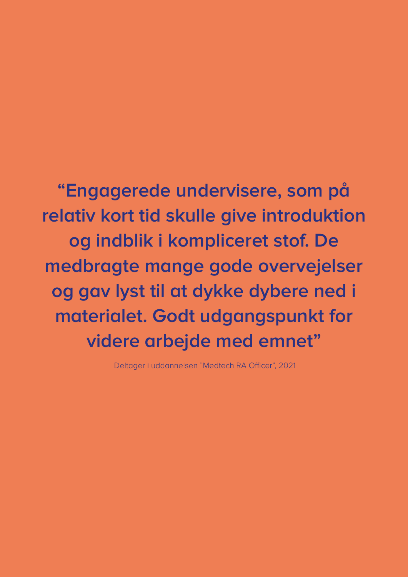## **"Engagerede undervisere, som på relativ kort tid skulle give introduktion og indblik i kompliceret stof. De medbragte mange gode overvejelser og gav lyst til at dykke dybere ned i materialet. Godt udgangspunkt for videre arbejde med emnet"**

Deltager i uddannelsen "Medtech RA Officer", 2021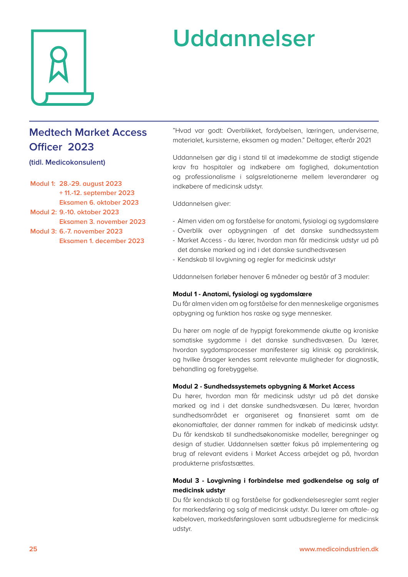

# **Uddannelser**

## **Medtech Market Access Officer 2023**

#### **(tidl. Medicokonsulent)**

**Modul 1: 28.-29. august 2023 + 11.-12. september 2023 Eksamen 6. oktober 2023 Modul 2: 9.-10. oktober 2023 Eksamen 3. november 2023 Modul 3: 6.-7. november 2023**

**Eksamen 1. december 2023**

"Hvad var godt: Overblikket, fordybelsen, læringen, underviserne, materialet, kursisterne, eksamen og maden." Deltager, efterår 2021

Uddannelsen gør dig i stand til at imødekomme de stadigt stigende krav fra hospitaler og indkøbere om faglighed, dokumentation og professionalisme i salgsrelationerne mellem leverandører og indkøbere af medicinsk udstyr.

Uddannelsen giver:

- Almen viden om og forståelse for anatomi, fysiologi og sygdomslære
- Overblik over opbygningen af det danske sundhedssystem
- Market Access du lærer, hvordan man får medicinsk udstyr ud på det danske marked og ind i det danske sundhedsvæsen
- Kendskab til lovgivning og regler for medicinsk udstyr

Uddannelsen forløber henover 6 måneder og består af 3 moduler:

#### **Modul 1 - Anatomi, fysiologi og sygdomslære**

Du får almen viden om og forståelse for den menneskelige organismes opbygning og funktion hos raske og syge mennesker.

Du hører om nogle af de hyppigt forekommende akutte og kroniske somatiske sygdomme i det danske sundhedsvæsen. Du lærer, hvordan sygdomsprocesser manifesterer sig klinisk og paraklinisk, og hvilke årsager kendes samt relevante muligheder for diagnostik, behandling og forebyggelse.

#### **Modul 2 - Sundhedssystemets opbygning & Market Access**

Du hører, hvordan man får medicinsk udstyr ud på det danske marked og ind i det danske sundhedsvæsen. Du lærer, hvordan sundhedsområdet er organiseret og finansieret samt om de økonomiaftaler, der danner rammen for indkøb af medicinsk udstyr. Du får kendskab til sundhedsøkonomiske modeller, beregninger og design af studier. Uddannelsen sætter fokus på implementering og brug af relevant evidens i Market Access arbejdet og på, hvordan produkterne prisfastsættes.

#### **Modul 3 - Lovgivning i forbindelse med godkendelse og salg af medicinsk udstyr**

Du får kendskab til og forståelse for godkendelsesregler samt regler for markedsføring og salg af medicinsk udstyr. Du lærer om aftale- og købeloven, markedsføringsloven samt udbudsreglerne for medicinsk udstyr.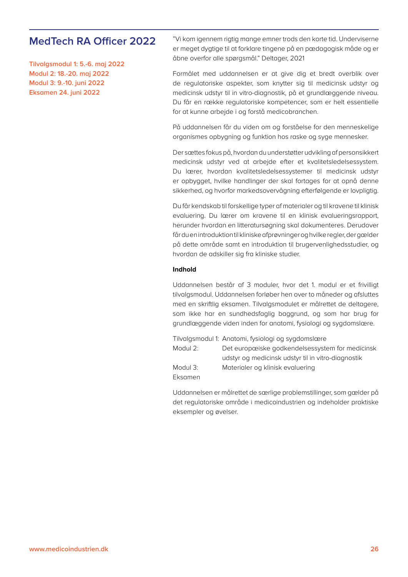#### **MedTech RA Officer 2022**

**Tilvalgsmodul 1: 5.-6. maj 2022 Modul 2: 18.-20. maj 2022 Modul 3: 9.-10. juni 2022 Eksamen 24. juni 2022**

"Vi kom igennem rigtig mange emner trods den korte tid. Underviserne er meget dygtige til at forklare tingene på en pædagogisk måde og er åbne overfor alle spørgsmål." Deltager, 2021

Formålet med uddannelsen er at give dig et bredt overblik over de regulatoriske aspekter, som knytter sig til medicinsk udstyr og medicinsk udstyr til in vitro-diagnostik, på et grundlæggende niveau. Du får en række regulatoriske kompetencer, som er helt essentielle for at kunne arbejde i og forstå medicobranchen.

På uddannelsen får du viden om og forståelse for den menneskelige organismes opbygning og funktion hos raske og syge mennesker.

Der sættes fokus på, hvordan du understøtter udvikling af personsikkert medicinsk udstyr ved at arbejde efter et kvalitetsledelsessystem. Du lærer, hvordan kvalitetsledelsessystemer til medicinsk udstyr er opbygget, hvilke handlinger der skal fortages for at opnå denne sikkerhed, og hvorfor markedsovervågning efterfølgende er lovpligtig.

Du får kendskab til forskellige typer af materialer og til kravene til klinisk evaluering. Du lærer om kravene til en klinisk evalueringsrapport, herunder hvordan en litteratursøgning skal dokumenteres. Derudover får du en introduktion til kliniske afprøvninger og hvilke regler, der gælder på dette område samt en introduktion til brugervenlighedsstudier, og hvordan de adskiller sig fra kliniske studier.

#### **Indhold**

Uddannelsen består af 3 moduler, hvor det 1. modul er et frivilligt tilvalgsmodul. Uddannelsen forløber hen over to måneder og afsluttes med en skriftlig eksamen. Tilvalgsmodulet er målrettet de deltagere, som ikke har en sundhedsfaglig baggrund, og som har brug for grundlæggende viden inden for anatomi, fysiologi og sygdomslære.

Tilvalgsmodul 1: Anatomi, fysiologi og sygdomslære Modul 2: Det europæiske godkendelsessystem for medicinsk udstyr og medicinsk udstyr til in vitro-diagnostik Modul 3: Materialer og klinisk evaluering Eksamen

Uddannelsen er målrettet de særlige problemstillinger, som gælder på det regulatoriske område i medicoindustrien og indeholder praktiske eksempler og øvelser.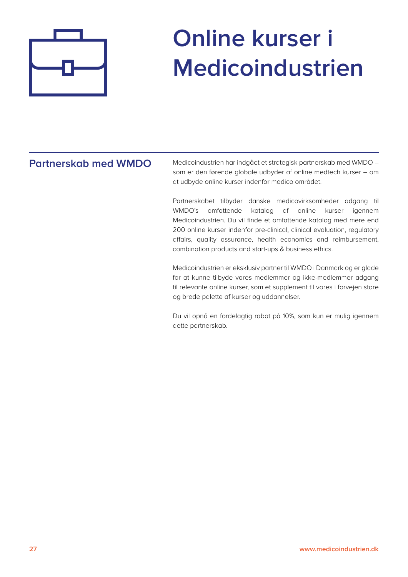

# **Online kurser i Medicoindustrien**

#### **Partnerskab med WMDO**

Medicoindustrien har indgået et strategisk partnerskab med WMDO – som er den førende globale udbyder af online medtech kurser – om at udbyde online kurser indenfor medico området.

Partnerskabet tilbyder danske medicovirksomheder adgang til WMDO's omfattende katalog af online kurser igennem Medicoindustrien. Du vil finde et omfattende katalog med mere end 200 online kurser indenfor pre-clinical, clinical evaluation, regulatory affairs, quality assurance, health economics and reimbursement, combination products and start-ups & business ethics.

Medicoindustrien er eksklusiv partner til WMDO i Danmark og er glade for at kunne tilbyde vores medlemmer og ikke-medlemmer adgang til relevante online kurser, som et supplement til vores i forvejen store og brede palette af kurser og uddannelser.

Du vil opnå en fordelagtig rabat på 10%, som kun er mulig igennem dette partnerskab.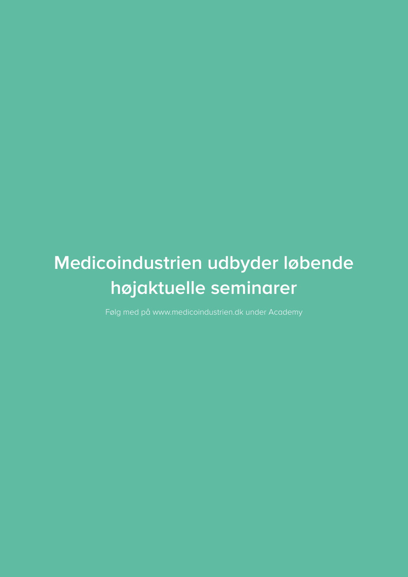## **Medicoindustrien udbyder løbende højaktuelle seminarer**

Følg med på [www.medicoindustrien.dk](http://www.medicoindustrien.dk) under Academy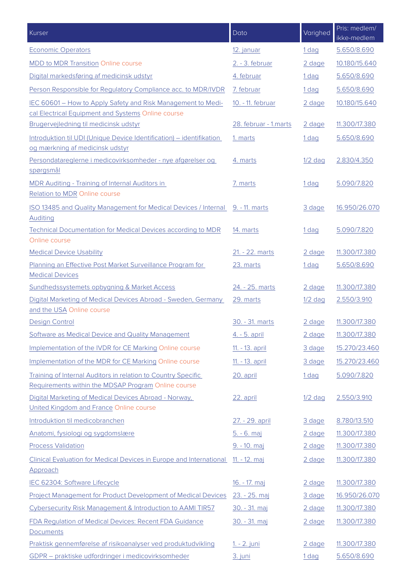| Kurser                                                                                                               | Dato                  | Varighed         | Pris: medlem/<br>ikke-medlem |
|----------------------------------------------------------------------------------------------------------------------|-----------------------|------------------|------------------------------|
| <b>Economic Operators</b>                                                                                            | 12. januar            | 1 dag            | 5.650/8.690                  |
| <b>MDD to MDR Transition Online course</b>                                                                           | 2. - 3. februar       | 2 dage           | 10.180/15.640                |
| Digital markedsføring af medicinsk udstyr                                                                            | 4. februar            | 1 <sub>dag</sub> | 5.650/8.690                  |
| Person Responsible for Regulatory Compliance acc. to MDR/IVDR                                                        | 7. februar            | 1 dag            | 5.650/8.690                  |
| IEC 60601 - How to Apply Safety and Risk Management to Medi-                                                         | 10. - 11. februar     | 2 dage           | 10.180/15.640                |
| cal Electrical Equipment and Systems Online course                                                                   |                       |                  |                              |
| Brugervejledning til medicinsk udstyr                                                                                | 28. februar - 1.marts | 2 dage           | 11.300/17.380                |
| Introduktion til UDI (Unique Device Identification) - identifikation<br>og mærkning af medicinsk udstyr              | 1. marts              | 1 dag            | 5.650/8.690                  |
| Persondatareglerne i medicovirksomheder - nye afgørelser og                                                          | 4. marts              | $1/2$ dag        | 2.830/4.350                  |
| spørgsmål                                                                                                            |                       |                  |                              |
| MDR Auditing - Training of Internal Auditors in<br><b>Relation to MDR Online course</b>                              | 7. marts              | 1 dag            | 5.090/7.820                  |
| ISO 13485 and Quality Management for Medical Devices / Internal 9. - 11. marts<br><b>Auditing</b>                    |                       | 3 dage           | 16.950/26.070                |
| <b>Technical Documentation for Medical Devices according to MDR</b><br>Online course                                 | 14. marts             | 1 <sub>dag</sub> | 5.090/7.820                  |
| <b>Medical Device Usability</b>                                                                                      | 21. - 22. marts       | 2 dage           | 11.300/17.380                |
| Planning an Effective Post Market Surveillance Program for<br><b>Medical Devices</b>                                 | 23. marts             | 1 <sub>dag</sub> | 5.650/8.690                  |
| Sundhedssystemets opbygning & Market Access                                                                          | 24. - 25. marts       | 2 dage           | 11.300/17.380                |
| Digital Marketing of Medical Devices Abroad - Sweden, Germany<br>and the USA Online course                           | 29. marts             | $1/2$ dag        | 2.550/3.910                  |
| <b>Design Control</b>                                                                                                | 30. - 31. marts       | 2 dage           | 11.300/17.380                |
| Software as Medical Device and Quality Management                                                                    | 4. - 5. april         | 2 dage           | 11.300/17.380                |
| Implementation of the IVDR for CE Marking Online course                                                              | 11. - 13. april       | 3 dage           | 15.270/23.460                |
| Implementation of the MDR for CE Marking Online course                                                               | 11. - 13. april       | 3 dage           | 15.270/23.460                |
| Training of Internal Auditors in relation to Country Specific<br>Requirements within the MDSAP Program Online course | 20. april             | 1 <sub>dag</sub> | 5.090/7.820                  |
| Digital Marketing of Medical Devices Abroad - Norway,<br>United Kingdom and France Online course                     | 22. april             | 1/2 dag          | 2.550/3.910                  |
| Introduktion til medicobranchen                                                                                      | 27. - 29. april       | 3 dage           | 8.780/13.510                 |
| Anatomi, fysiologi og sygdomslære                                                                                    | 5. - 6. maj           | 2 dage           | 11.300/17.380                |
| <b>Process Validation</b>                                                                                            | 9. - 10. maj          | 2 dage           | 11.300/17.380                |
| Clinical Evaluation for Medical Devices in Europe and International<br>Approach                                      | 11. - 12. maj         | 2 dage           | 11.300/17.380                |
| IEC 62304: Software Lifecycle                                                                                        | 16. - 17. maj         | 2 dage           | 11.300/17.380                |
| <b>Project Management for Product Development of Medical Devices</b>                                                 | 23. - 25. maj         | 3 dage           | 16.950/26.070                |
| Cybersecurity Risk Management & Introduction to AAMI TIR57                                                           | 30. - 31. maj         | 2 dage           | 11.300/17.380                |
| FDA Regulation of Medical Devices: Recent FDA Guidance<br><b>Documents</b>                                           | 30. - 31. maj         | 2 dage           | 11.300/17.380                |
| Praktisk gennemførelse af risikoanalyser ved produktudvikling                                                        | 1. - 2. juni          | 2 dage           | 11.300/17.380                |
| GDPR - praktiske udfordringer i medicovirksomheder                                                                   | 3. juni               | 1 dag            | 5.650/8.690                  |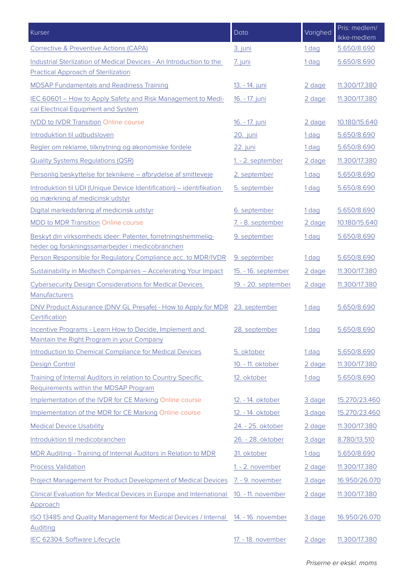| Kurser                                                                                                            | Dato                       | Varighed         | Pris: medlem/<br>ikke-medlem |
|-------------------------------------------------------------------------------------------------------------------|----------------------------|------------------|------------------------------|
| Corrective & Preventive Actions (CAPA)                                                                            | 3. juni                    | 1 dag            | 5.650/8.690                  |
| Industrial Sterlization of Medical Devices - An Introduction to the<br><b>Practical Approach of Sterilization</b> | 7. juni                    | 1 dag            | 5.650/8.690                  |
| <b>MDSAP Fundamentals and Readiness Training</b>                                                                  | 13. - 14. juni             | 2 dage           | 11.300/17.380                |
| IEC 60601 - How to Apply Safety and Risk Management to Medi-<br>cal Electrical Equipment and System               | 16. - 17. juni             | 2 dage           | 11.300/17.380                |
| <b>IVDD to IVDR Transition Online course</b>                                                                      | 16. - 17. juni             | 2 dage           | 10.180/15.640                |
| Introduktion til udbudsloven                                                                                      | 20. juni                   | 1 <sub>dag</sub> | 5.650/8.690                  |
| Regler om reklame, tilknytning og økonomiske fordele                                                              | 22. juni                   | 1 dag            | 5.650/8.690                  |
| <b>Quality Systems Regulations (QSR)</b>                                                                          | 1. - 2. september          | 2 dage           | 11.300/17.380                |
| Personlig beskyttelse for teknikere - afbrydelse af smitteveje                                                    | 2. september               | 1 dag            | 5.650/8.690                  |
| Introduktion til UDI (Unique Device Identification) - identifikation<br>og mærkning af medicinsk udstyr           | 5. september               | 1 dag            | 5.650/8.690                  |
| Digital markedsføring af medicinsk udstyr                                                                         | 6. september               | 1 dag            | 5.650/8.690                  |
| MDD to MDR Transition Online course                                                                               | 7. - 8. september          | 2 dage           | 10.180/15.640                |
| Beskyt din virksomheds ideer: Patenter, forretningshemmelig-<br>heder og forskningssamarbejder i medicobranchen   | 9. september               | 1 dag            | 5.650/8.690                  |
| Person Responsible for Regulatory Compliance acc. to MDR/IVDR                                                     | 9. september               | 1 <sub>dag</sub> | 5.650/8.690                  |
| Sustainability in Medtech Companies - Accelerating Your Impact                                                    | 15. - 16. september        | 2 dage           | 11.300/17.380                |
| <b>Cybersecurity Design Considerations for Medical Devices</b><br>Manufacturers                                   | <u>19. - 20. september</u> | 2 dage           | 11.300/17.380                |
| DNV Product Assurance (DNV GL Presafe) - How to Apply for MDR 23. september<br>Certification                      |                            | 1 dag            | 5.650/8.690                  |
| Incentive Programs - Learn How to Decide, Implement and<br>Maintain the Right Program in your Company             | 28. september              | 1 <sub>dag</sub> | 5.650/8.690                  |
| Introduction to Chemical Compliance for Medical Devices                                                           | 5. oktober                 | 1 <sub>dag</sub> | 5.650/8.690                  |
| <b>Design Control</b>                                                                                             | 10. - 11. oktober          | 2 dage           | 11.300/17.380                |
| Training of Internal Auditors in relation to Country Specific<br>Requirements within the MDSAP Program            | 12. oktober                | 1 dag            | 5.650/8.690                  |
| Implementation of the IVDR for CE Marking Online course                                                           | 12. - 14. oktober          | 3 dage           | 15.270/23.460                |
| Implementation of the MDR for CE Marking Online course                                                            | 12. - 14. oktober          | 3 dage           | 15.270/23.460                |
| <b>Medical Device Usability</b>                                                                                   | 24. - 25. oktober          | 2 dage           | 11.300/17.380                |
| Introduktion til medicobranchen                                                                                   | 26. - 28. oktober          | 3 dage           | 8.780/13.510                 |
| MDR Auditing - Training of Internal Auditors in Relation to MDR                                                   | 31. oktober                | 1 <sub>dag</sub> | 5.650/8.690                  |
| <b>Process Validation</b>                                                                                         | 1. - 2. november           | 2 dage           | 11.300/17.380                |
| <b>Project Management for Product Development of Medical Devices</b>                                              | 7. - 9. november           | 3 dage           | 16.950/26.070                |
| Clinical Evaluation for Medical Devices in Europe and International<br>Approach                                   | 10. - 11. november         | 2 dage           | 11.300/17.380                |
| ISO 13485 and Quality Management for Medical Devices / Internal 14. - 16. november<br>Auditing                    |                            | 3 dage           | 16.950/26.070                |
| IEC 62304: Software Lifecycle                                                                                     | 17. - 18. november         | 2 dage           | 11.300/17.380                |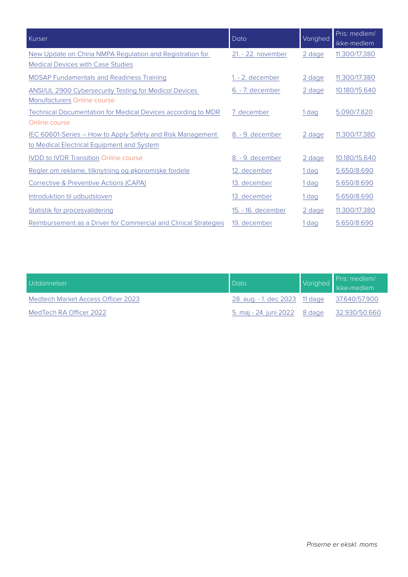| Kurser                                                           | Dato               | Varighed         | Pris: medlem/<br>ikke-medlem |
|------------------------------------------------------------------|--------------------|------------------|------------------------------|
| New Update on China NMPA Regulation and Registration for         | 21. - 22. november | 2 dage           | 11.300/17.380                |
| <b>Medical Devices with Case Studies</b>                         |                    |                  |                              |
| <b>MDSAP Fundamentals and Readiness Training</b>                 | 1. - 2. december   | 2 dage           | 11.300/17.380                |
| <b>ANSI/UL 2900 Cybersecurity Testing for Medical Devices</b>    | 6. - 7. december   | 2 dage           | 10.180/15.640                |
| Manufacturers Online course                                      |                    |                  |                              |
| Technical Documentation for Medical Devices according to MDR     | 7. december        | 1 dag            | 5.090/7.820                  |
| Online course                                                    |                    |                  |                              |
| IEC 60601-Series - How to Apply Safety and Risk Management       | 8. - 9. december   | 2 dage           | 11.300/17.380                |
| to Medical Electrical Equipment and System                       |                    |                  |                              |
| <b>IVDD to IVDR Transition Online course</b>                     | 8. - 9. december   | 2 dage           | 10.180/15.640                |
| Regler om reklame, tilknytning og økonomiske fordele             | 12. december       | 1 dag            | 5.650/8.690                  |
| Corrective & Preventive Actions (CAPA)                           | 13. december       | 1 dag            | 5.650/8.690                  |
| Introduktion til udbudsloven                                     | 13. december       | 1 <sub>dag</sub> | 5.650/8.690                  |
| Statistik for procesvalidering                                   | 15. - 16. december | 2 dage           | 11.300/17.380                |
| Reimbursement as a Driver for Commercial and Clinical Strategies | 19. december       | 1 dag            | 5.650/8.690                  |

| Uddannelser                        | Dato                                         | Varighed Pris: medlem/<br>  Varighed   ikke-medlem |
|------------------------------------|----------------------------------------------|----------------------------------------------------|
| Medtech Market Access Officer 2023 | 28. aug. - 1. dec 2023 11 dage 37.640/57.900 |                                                    |
| MedTech RA Officer 2022            | 5. maj - 24. juni 2022 8 dage 32.930/50.660  |                                                    |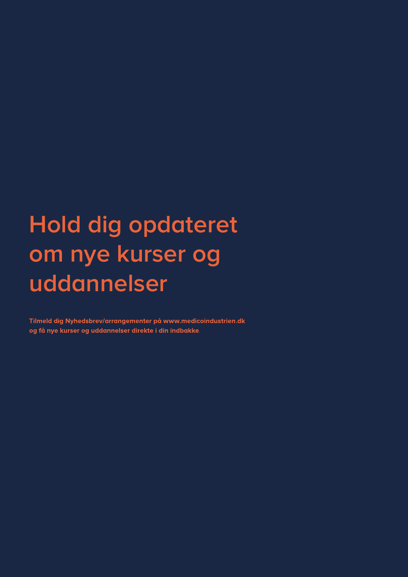# **Hold dig opdateret om nye kurser og uddannelser**

Tilmeld dig Nyhedsbrev/arrangementer på www.medicoindustrien.dk og få nye kurser og uddannelser direkte i din indbakke.